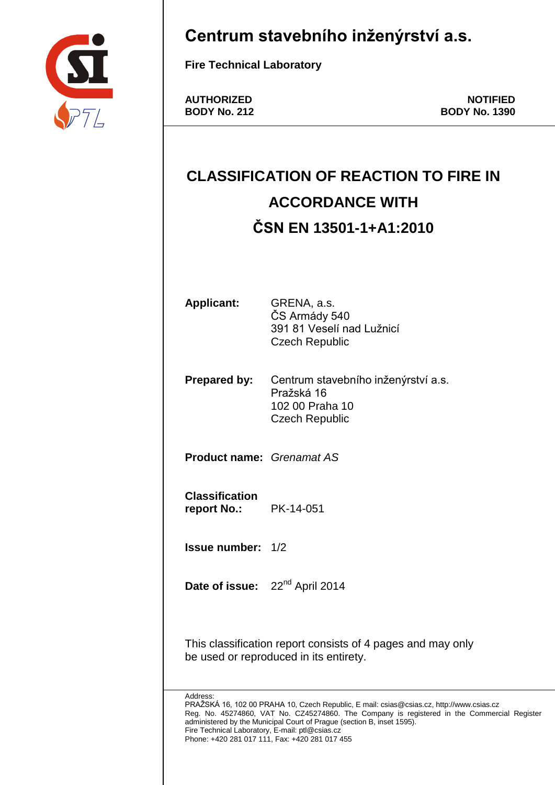

## **Centrum stavebního inženýrství a.s.**

**Fire Technical Laboratory**

**AUTHORIZED NOTIFIED BODY No. 212 BODY No. 1390**

# **CLASSIFICATION OF REACTION TO FIRE IN ACCORDANCE WITH ČSN EN 13501-1+A1:2010**

**Applicant:** GRENA, a.s. ČS Armády 540 391 81 Veselí nad Lužnicí Czech Republic

**Prepared by:** Centrum stavebního inženýrství a.s. Pražská 16 102 00 Praha 10 Czech Republic

**Product name:** *Grenamat AS*

**Classification report No.:** PK-14-051

**Issue number:** 1/2

Date of issue: 22<sup>nd</sup> April 2014

This classification report consists of 4 pages and may only be used or reproduced in its entirety.

Address:

PRAŽSKÁ 16, 102 00 PRAHA 10, Czech Republic, E mail: csias@csias.cz, http://www.csias.cz Reg. No. 45274860, VAT No. CZ45274860. The Company is registered in the Commercial Register administered by the Municipal Court of Prague (section B, inset 1595). Fire Technical Laboratory, E-mail: ptl@csias.cz Phone: +420 281 017 111, Fax: +420 281 017 455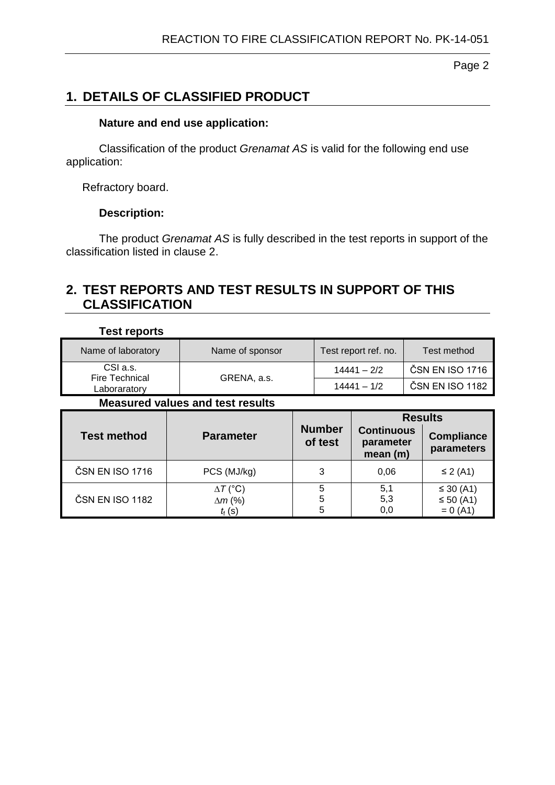Page 2

## **1. DETAILS OF CLASSIFIED PRODUCT**

#### **Nature and end use application:**

Classification of the product *Grenamat AS* is valid for the following end use application:

Refractory board.

#### **Description:**

The product *Grenamat AS* is fully described in the test reports in support of the classification listed in clause 2.

## **2. TEST REPORTS AND TEST RESULTS IN SUPPORT OF THIS CLASSIFICATION**

| <b>Test reports</b>                     |                                                               |               |                          |                                              |                 |                                                   |  |  |  |  |  |
|-----------------------------------------|---------------------------------------------------------------|---------------|--------------------------|----------------------------------------------|-----------------|---------------------------------------------------|--|--|--|--|--|
| Name of laboratory                      | Name of sponsor                                               |               | Test report ref. no.     |                                              | Test method     |                                                   |  |  |  |  |  |
| CSI a.s.<br>Fire Technical              |                                                               |               | $14441 - 2/2$            |                                              | ČSN EN ISO 1716 |                                                   |  |  |  |  |  |
| Laboraratory                            | GRENA, a.s.                                                   | $14441 - 1/2$ |                          | ČSN EN ISO 1182                              |                 |                                                   |  |  |  |  |  |
| <b>Measured values and test results</b> |                                                               |               |                          |                                              |                 |                                                   |  |  |  |  |  |
| <b>Test method</b>                      | <b>Parameter</b>                                              |               | <b>Number</b><br>of test | <b>Continuous</b><br>parameter<br>mean $(m)$ |                 | <b>Results</b><br><b>Compliance</b><br>parameters |  |  |  |  |  |
| ČSN EN ISO 1716                         | PCS (MJ/kg)                                                   |               | 3                        | 0,06                                         |                 | $\leq$ 2 (A1)                                     |  |  |  |  |  |
| ČSN EN ISO 1182                         | $\Delta T$ (°C)<br>$\Delta m$ (%)<br>$t_{\text{f}}(\text{s})$ |               | 5<br>5<br>5              | 5,1<br>5,3<br>0,0                            |                 | ≤ 30 $(A1)$<br>≤ 50 (A1)<br>$= 0 (A1)$            |  |  |  |  |  |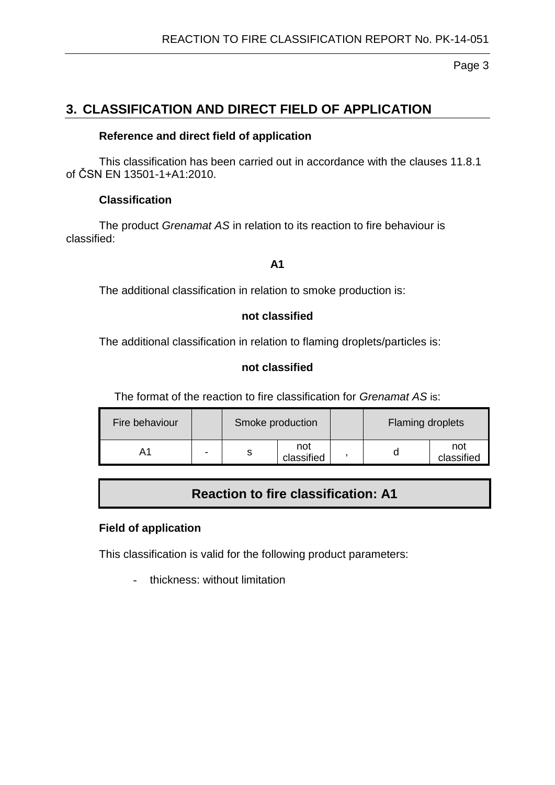Page 3

## **3. CLASSIFICATION AND DIRECT FIELD OF APPLICATION**

#### **Reference and direct field of application**

This classification has been carried out in accordance with the clauses 11.8.1 of ČSN EN 13501-1+A1:2010.

#### **Classification**

The product *Grenamat AS* in relation to its reaction to fire behaviour is classified:

#### **A1**

The additional classification in relation to smoke production is:

#### **not classified**

The additional classification in relation to flaming droplets/particles is:

#### **not classified**

The format of the reaction to fire classification for *Grenamat AS* is:

| Fire behaviour |   | Smoke production |                   | <b>Flaming droplets</b> |                   |  |
|----------------|---|------------------|-------------------|-------------------------|-------------------|--|
| A۱             | - |                  | not<br>classified |                         | not<br>classified |  |

### **Reaction to fire classification: A1**

#### **Field of application**

This classification is valid for the following product parameters:

- thickness: without limitation